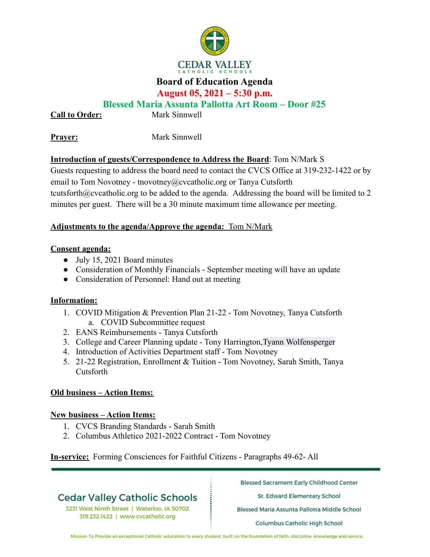

## **Board of Education Agenda**

**August 05, 2021 – 5:30 p.m.**

## **Blessed Maria Assunta Pallotta Art Room – Door #25**

**Call to Order:** Mark Sinnwell

**Prayer:** Mark Sinnwell

### **Introduction of guests/Correspondence to Address the Board**: Tom N/Mark S

Guests requesting to address the board need to contact the CVCS Office at 319-232-1422 or by email to Tom Novotney - tnovotney@cvcatholic.org or Tanya Cutsforth tcutsforth@cvcatholic.org to be added to the agenda. Addressing the board will be limited to 2 minutes per guest. There will be a 30 minute maximum time allowance per meeting.

#### **Adjustments to the agenda/Approve the agenda:** Tom N/Mark

#### **Consent agenda:**

- July 15, 2021 Board minutes
- Consideration of Monthly Financials September meeting will have an update
- Consideration of Personnel: Hand out at meeting

### **Information:**

- 1. COVID Mitigation & Prevention Plan 21-22 Tom Novotney, Tanya Cutsforth a. COVID Subcommittee request
- 2. EANS Reimbursements Tanya Cutsforth
- 3. College and Career Planning update Tony Harrington,Tyann Wolfensperger
- 4. Introduction of Activities Department staff Tom Novotney
- 5. 21-22 Registration, Enrollment & Tuition Tom Novotney, Sarah Smith, Tanya Cutsforth

### **Old business – Action Items:**

### **New business – Action Items:**

- 1. CVCS Branding Standards Sarah Smith
- 2. Columbus Athletico 2021-2022 Contract Tom Novotney

**In-service:** Forming Consciences for Faithful Citizens - Paragraphs 49-62- All

# **Cedar Valley Catholic Schools**

3231 West Ninth Street | Waterloo, IA 50702 319.232.1422 | www.cvcatholic.org

**Blessed Sacrament Early Childhood Center** 

St. Edward Elementary School

Blessed Maria Assunta Pallotta Middle School

Columbus Catholic High School

Mission: To Provide an exceptional Catholic education to every student, built on the foundation of faith, discipline, knowledge and service.